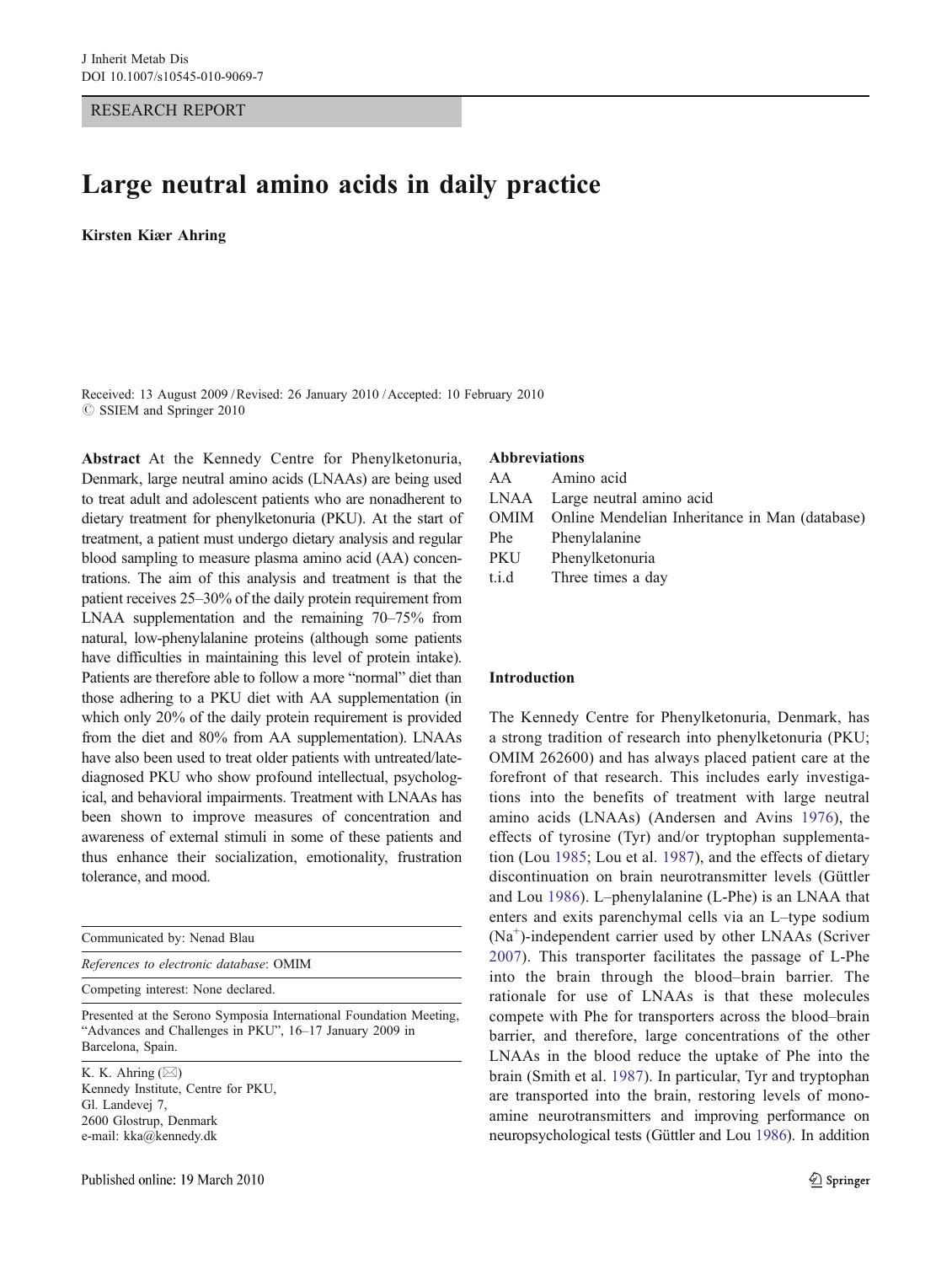RESEARCH REPORT

# Large neutral amino acids in daily practice

Kirsten Kiær Ahring

Received: 13 August 2009 /Revised: 26 January 2010 /Accepted: 10 February 2010  $\oslash$  SSIEM and Springer 2010

Abstract At the Kennedy Centre for Phenylketonuria, Denmark, large neutral amino acids (LNAAs) are being used to treat adult and adolescent patients who are nonadherent to dietary treatment for phenylketonuria (PKU). At the start of treatment, a patient must undergo dietary analysis and regular blood sampling to measure plasma amino acid (AA) concentrations. The aim of this analysis and treatment is that the patient receives 25–30% of the daily protein requirement from LNAA supplementation and the remaining 70–75% from natural, low-phenylalanine proteins (although some patients have difficulties in maintaining this level of protein intake). Patients are therefore able to follow a more "normal" diet than those adhering to a PKU diet with AA supplementation (in which only 20% of the daily protein requirement is provided from the diet and 80% from AA supplementation). LNAAs have also been used to treat older patients with untreated/latediagnosed PKU who show profound intellectual, psychological, and behavioral impairments. Treatment with LNAAs has been shown to improve measures of concentration and awareness of external stimuli in some of these patients and thus enhance their socialization, emotionality, frustration tolerance, and mood.

| Communicated by: Nenad Blau                                                                                                                        |
|----------------------------------------------------------------------------------------------------------------------------------------------------|
| References to electronic database: OMIM                                                                                                            |
| Competing interest: None declared.                                                                                                                 |
| Presented at the Serono Symposia International Foundation Meeting,<br>"Advances and Challenges in PKU", 16–17 January 2009 in<br>Barcelona, Spain. |
| $V$ V A hring $(N_A)$                                                                                                                              |

K. K. Ahring (*\**) Kennedy Institute, Centre for PKU, Gl. Landevej 7, 2600 Glostrup, Denmark e-mail: kka@kennedy.dk

#### Abbreviations

|       | AA Amino acid                                       |
|-------|-----------------------------------------------------|
|       | LNAA Large neutral amino acid                       |
|       | OMIM Online Mendelian Inheritance in Man (database) |
|       | Phe Phenylalanine                                   |
| PKU   | Phenylketonuria                                     |
| t.i.d | Three times a day                                   |

## Introduction

The Kennedy Centre for Phenylketonuria, Denmark, has a strong tradition of research into phenylketonuria (PKU; OMIM 262600) and has always placed patient care at the forefront of that research. This includes early investigations into the benefits of treatment with large neutral amino acids (LNAAs) (Andersen and Avins [1976\)](#page-3-0), the effects of tyrosine (Tyr) and/or tryptophan supplementation (Lou [1985](#page-3-0); Lou et al. [1987\)](#page-3-0), and the effects of dietary discontinuation on brain neurotransmitter levels (Güttler and Lou [1986](#page-3-0)). L–phenylalanine (L-Phe) is an LNAA that enters and exits parenchymal cells via an L–type sodium (Na<sup>+</sup> )-independent carrier used by other LNAAs (Scriver [2007](#page-3-0)). This transporter facilitates the passage of L-Phe into the brain through the blood–brain barrier. The rationale for use of LNAAs is that these molecules compete with Phe for transporters across the blood–brain barrier, and therefore, large concentrations of the other LNAAs in the blood reduce the uptake of Phe into the brain (Smith et al. [1987\)](#page-3-0). In particular, Tyr and tryptophan are transported into the brain, restoring levels of monoamine neurotransmitters and improving performance on neuropsychological tests (Güttler and Lou [1986](#page-3-0)). In addition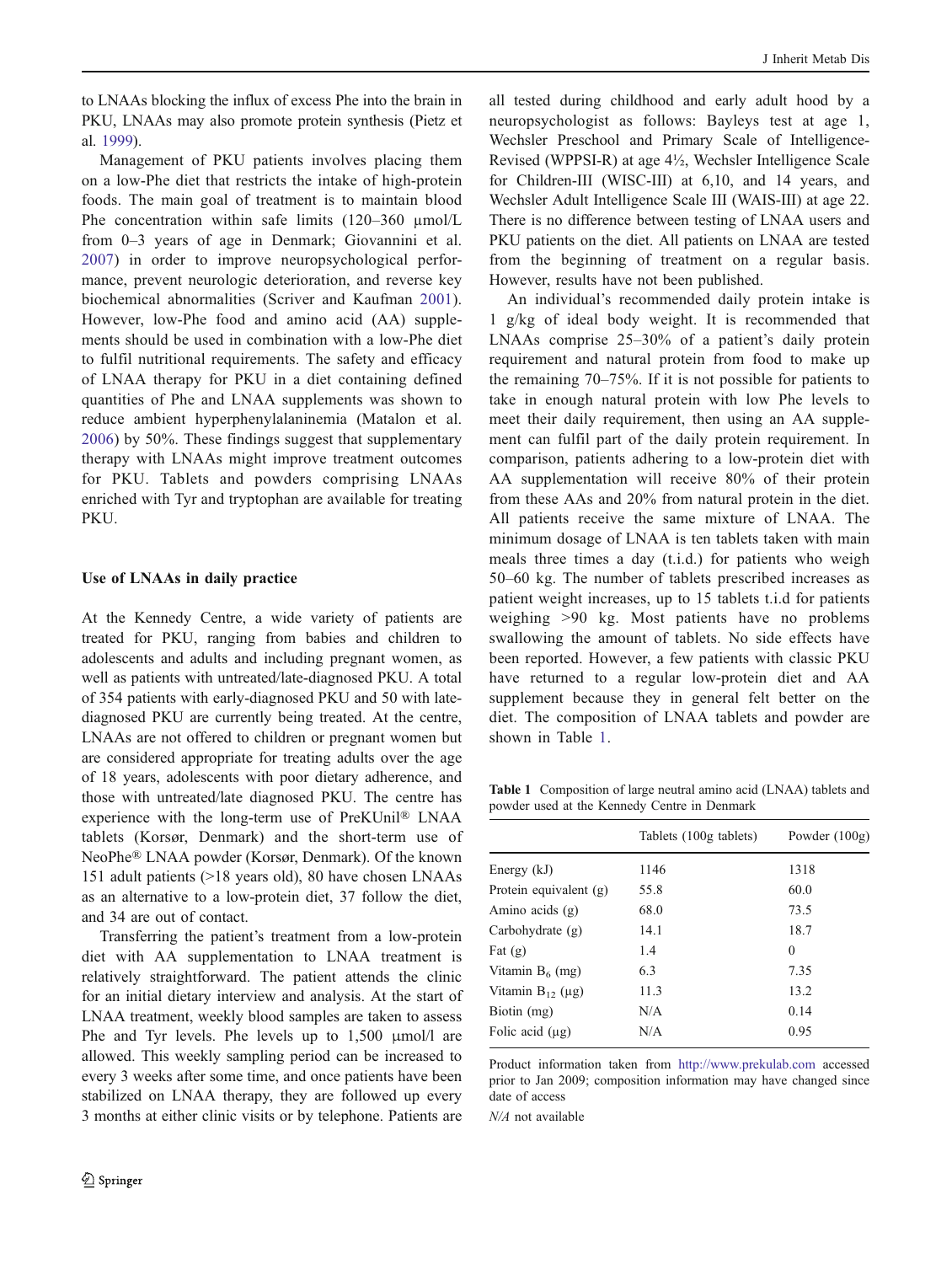to LNAAs blocking the influx of excess Phe into the brain in PKU, LNAAs may also promote protein synthesis (Pietz et al. [1999](#page-3-0)).

Management of PKU patients involves placing them on a low-Phe diet that restricts the intake of high-protein foods. The main goal of treatment is to maintain blood Phe concentration within safe limits (120–360 µmol/L from 0–3 years of age in Denmark; Giovannini et al. [2007](#page-3-0)) in order to improve neuropsychological performance, prevent neurologic deterioration, and reverse key biochemical abnormalities (Scriver and Kaufman [2001](#page-3-0)). However, low-Phe food and amino acid (AA) supplements should be used in combination with a low-Phe diet to fulfil nutritional requirements. The safety and efficacy of LNAA therapy for PKU in a diet containing defined quantities of Phe and LNAA supplements was shown to reduce ambient hyperphenylalaninemia (Matalon et al. [2006](#page-3-0)) by 50%. These findings suggest that supplementary therapy with LNAAs might improve treatment outcomes for PKU. Tablets and powders comprising LNAAs enriched with Tyr and tryptophan are available for treating PKU.

## Use of LNAAs in daily practice

At the Kennedy Centre, a wide variety of patients are treated for PKU, ranging from babies and children to adolescents and adults and including pregnant women, as well as patients with untreated/late-diagnosed PKU. A total of 354 patients with early-diagnosed PKU and 50 with latediagnosed PKU are currently being treated. At the centre, LNAAs are not offered to children or pregnant women but are considered appropriate for treating adults over the age of 18 years, adolescents with poor dietary adherence, and those with untreated/late diagnosed PKU. The centre has experience with the long-term use of PreKUnil® LNAA tablets (Korsør, Denmark) and the short-term use of NeoPhe® LNAA powder (Korsør, Denmark). Of the known 151 adult patients (>18 years old), 80 have chosen LNAAs as an alternative to a low-protein diet, 37 follow the diet, and 34 are out of contact.

Transferring the patient's treatment from a low-protein diet with AA supplementation to LNAA treatment is relatively straightforward. The patient attends the clinic for an initial dietary interview and analysis. At the start of LNAA treatment, weekly blood samples are taken to assess Phe and Tyr levels. Phe levels up to 1,500 μmol/l are allowed. This weekly sampling period can be increased to every 3 weeks after some time, and once patients have been stabilized on LNAA therapy, they are followed up every 3 months at either clinic visits or by telephone. Patients are

all tested during childhood and early adult hood by a neuropsychologist as follows: Bayleys test at age 1, Wechsler Preschool and Primary Scale of Intelligence-Revised (WPPSI-R) at age 4½, Wechsler Intelligence Scale for Children-III (WISC-III) at 6,10, and 14 years, and Wechsler Adult Intelligence Scale III (WAIS-III) at age 22. There is no difference between testing of LNAA users and PKU patients on the diet. All patients on LNAA are tested from the beginning of treatment on a regular basis. However, results have not been published.

An individual's recommended daily protein intake is 1 g/kg of ideal body weight. It is recommended that LNAAs comprise 25–30% of a patient's daily protein requirement and natural protein from food to make up the remaining 70–75%. If it is not possible for patients to take in enough natural protein with low Phe levels to meet their daily requirement, then using an AA supplement can fulfil part of the daily protein requirement. In comparison, patients adhering to a low-protein diet with AA supplementation will receive 80% of their protein from these AAs and 20% from natural protein in the diet. All patients receive the same mixture of LNAA. The minimum dosage of LNAA is ten tablets taken with main meals three times a day (t.i.d.) for patients who weigh 50–60 kg. The number of tablets prescribed increases as patient weight increases, up to 15 tablets t.i.d for patients weighing >90 kg. Most patients have no problems swallowing the amount of tablets. No side effects have been reported. However, a few patients with classic PKU have returned to a regular low-protein diet and AA supplement because they in general felt better on the diet. The composition of LNAA tablets and powder are shown in Table 1.

Table 1 Composition of large neutral amino acid (LNAA) tablets and powder used at the Kennedy Centre in Denmark

|                          | Tablets (100g tablets) | Powder $(100g)$ |
|--------------------------|------------------------|-----------------|
| Energy $(kJ)$            | 1146                   | 1318            |
| Protein equivalent $(g)$ | 55.8                   | 60.0            |
| Amino acids $(g)$        | 68.0                   | 73.5            |
| Carbohydrate $(g)$       | 14.1                   | 18.7            |
| Fat $(g)$                | 1.4                    | $\theta$        |
| Vitamin $B_6$ (mg)       | 6.3                    | 7.35            |
| Vitamin $B_{12}$ (µg)    | 11.3                   | 13.2            |
| Biotin (mg)              | N/A                    | 0.14            |
| Folic acid $(\mu g)$     | N/A                    | 0.95            |

Product information taken from http://www.prekulab.com accessed prior to Jan 2009; composition information may have changed since date of access

N/A not available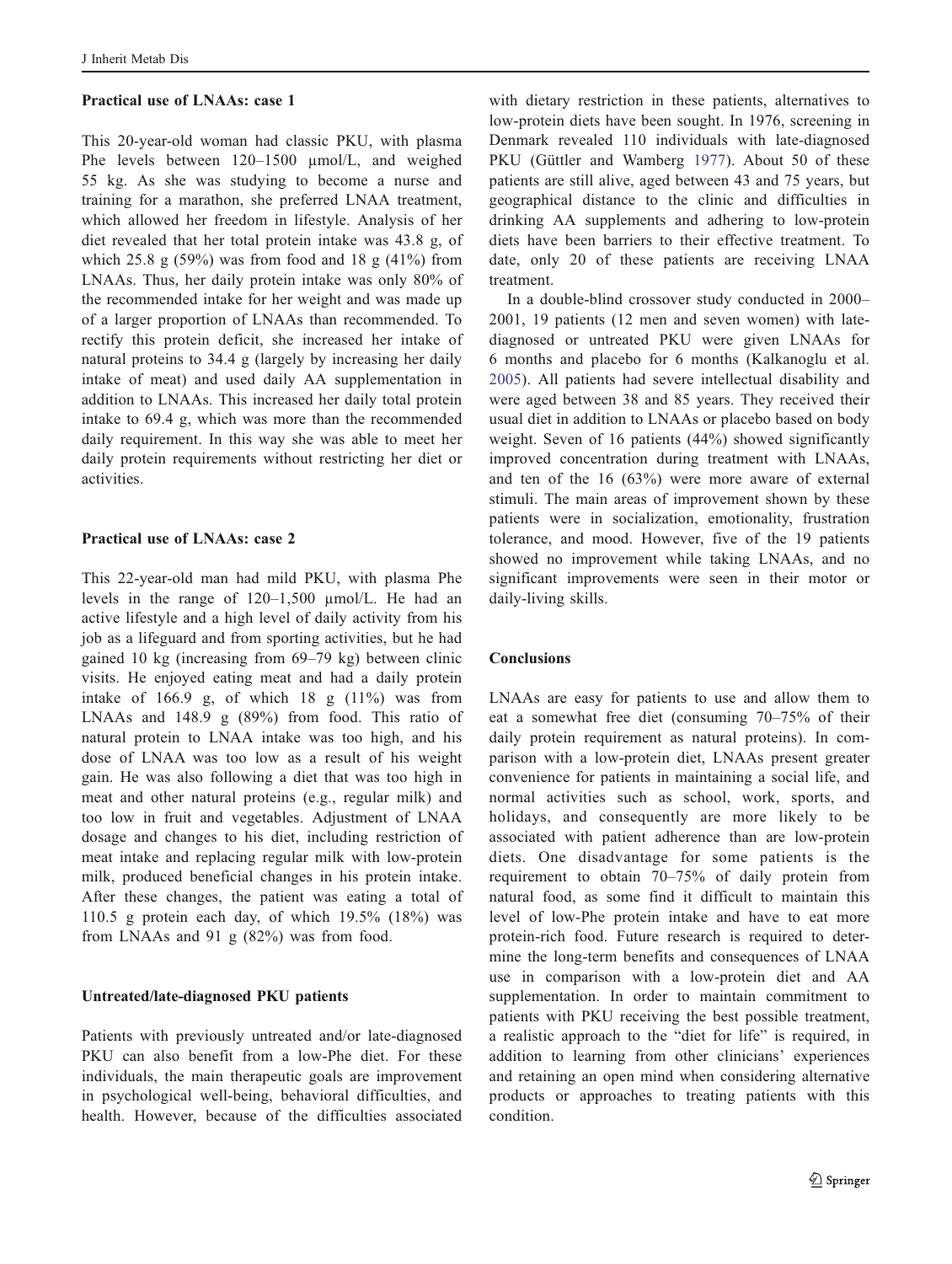#### Practical use of LNAAs: case 1

This 20-year-old woman had classic PKU, with plasma Phe levels between 120–1500 µmol/L, and weighed 55 kg. As she was studying to become a nurse and training for a marathon, she preferred LNAA treatment, which allowed her freedom in lifestyle. Analysis of her diet revealed that her total protein intake was 43.8 g, of which 25.8 g  $(59\%)$  was from food and 18 g  $(41\%)$  from LNAAs. Thus, her daily protein intake was only 80% of the recommended intake for her weight and was made up of a larger proportion of LNAAs than recommended. To rectify this protein deficit, she increased her intake of natural proteins to 34.4 g (largely by increasing her daily intake of meat) and used daily AA supplementation in addition to LNAAs. This increased her daily total protein intake to 69.4 g, which was more than the recommended daily requirement. In this way she was able to meet her daily protein requirements without restricting her diet or activities.

## Practical use of LNAAs: case 2

This 22-year-old man had mild PKU, with plasma Phe levels in the range of 120–1,500 µmol/L. He had an active lifestyle and a high level of daily activity from his job as a lifeguard and from sporting activities, but he had gained 10 kg (increasing from 69–79 kg) between clinic visits. He enjoyed eating meat and had a daily protein intake of  $166.9$  g, of which  $18$  g  $(11\%)$  was from LNAAs and 148.9 g (89%) from food. This ratio of natural protein to LNAA intake was too high, and his dose of LNAA was too low as a result of his weight gain. He was also following a diet that was too high in meat and other natural proteins (e.g., regular milk) and too low in fruit and vegetables. Adjustment of LNAA dosage and changes to his diet, including restriction of meat intake and replacing regular milk with low-protein milk, produced beneficial changes in his protein intake. After these changes, the patient was eating a total of 110.5 g protein each day, of which 19.5% (18%) was from LNAAs and 91 g (82%) was from food.

## Untreated/late-diagnosed PKU patients

Patients with previously untreated and/or late-diagnosed PKU can also benefit from a low-Phe diet. For these individuals, the main therapeutic goals are improvement in psychological well-being, behavioral difficulties, and health. However, because of the difficulties associated

with dietary restriction in these patients, alternatives to low-protein diets have been sought. In 1976, screening in Denmark revealed 110 individuals with late-diagnosed PKU (Güttler and Wamberg [1977](#page-3-0)). About 50 of these patients are still alive, aged between 43 and 75 years, but geographical distance to the clinic and difficulties in drinking AA supplements and adhering to low-protein diets have been barriers to their effective treatment. To date, only 20 of these patients are receiving LNAA treatment.

In a double-blind crossover study conducted in 2000– 2001, 19 patients (12 men and seven women) with latediagnosed or untreated PKU were given LNAAs for 6 months and placebo for 6 months (Kalkanoglu et al. [2005](#page-3-0)). All patients had severe intellectual disability and were aged between 38 and 85 years. They received their usual diet in addition to LNAAs or placebo based on body weight. Seven of 16 patients (44%) showed significantly improved concentration during treatment with LNAAs, and ten of the 16 (63%) were more aware of external stimuli. The main areas of improvement shown by these patients were in socialization, emotionality, frustration tolerance, and mood. However, five of the 19 patients showed no improvement while taking LNAAs, and no significant improvements were seen in their motor or daily-living skills.

### Conclusions

LNAAs are easy for patients to use and allow them to eat a somewhat free diet (consuming 70–75% of their daily protein requirement as natural proteins). In comparison with a low-protein diet, LNAAs present greater convenience for patients in maintaining a social life, and normal activities such as school, work, sports, and holidays, and consequently are more likely to be associated with patient adherence than are low-protein diets. One disadvantage for some patients is the requirement to obtain 70–75% of daily protein from natural food, as some find it difficult to maintain this level of low-Phe protein intake and have to eat more protein-rich food. Future research is required to determine the long-term benefits and consequences of LNAA use in comparison with a low-protein diet and AA supplementation. In order to maintain commitment to patients with PKU receiving the best possible treatment, a realistic approach to the "diet for life" is required, in addition to learning from other clinicians' experiences and retaining an open mind when considering alternative products or approaches to treating patients with this condition.